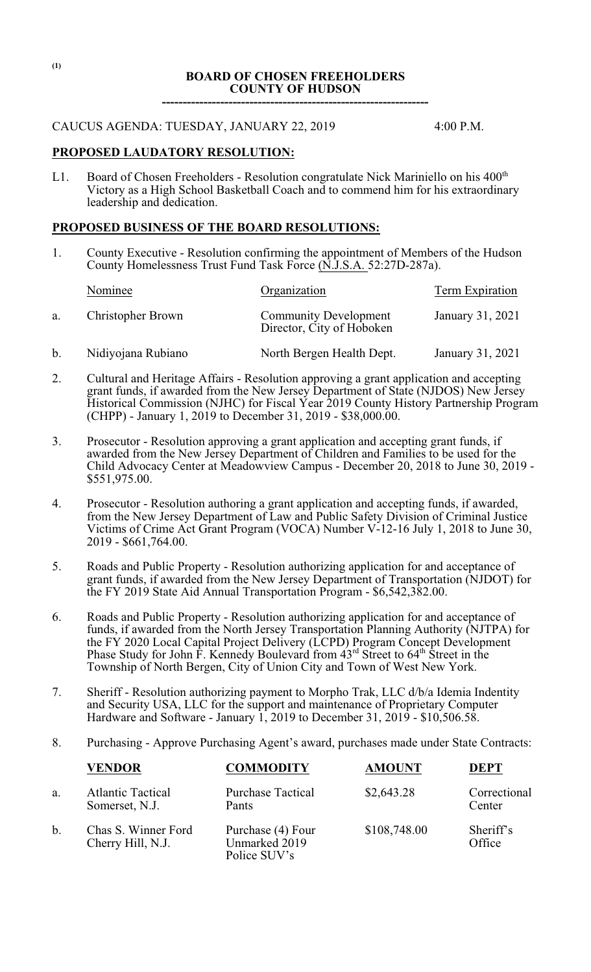### **BOARD OF CHOSEN FREEHOLDERS COUNTY OF HUDSON ----------------------------------------------------------------**

#### CAUCUS AGENDA: TUESDAY, JANUARY 22, 2019 4:00 P.M.

# **PROPOSED LAUDATORY RESOLUTION:**

L1. Board of Chosen Freeholders - Resolution congratulate Nick Mariniello on his 400<sup>th</sup> Victory as a High School Basketball Coach and to commend him for his extraordinary leadership and dedication.

## **PROPOSED BUSINESS OF THE BOARD RESOLUTIONS:**

1. County Executive - Resolution confirming the appointment of Members of the Hudson County Homelessness Trust Fund Task Force (N.J.S.A. 52:27D-287a).

|    | Nominee            | Organization                                              | Term Expiration  |
|----|--------------------|-----------------------------------------------------------|------------------|
| a. | Christopher Brown  | <b>Community Development</b><br>Director, City of Hoboken | January 31, 2021 |
| b. | Nidiyojana Rubiano | North Bergen Health Dept.                                 | January 31, 2021 |

- 2. Cultural and Heritage Affairs Resolution approving a grant application and accepting grant funds, if awarded from the New Jersey Department of State (NJDOS) New Jersey Historical Commission (NJHC) for Fiscal Year 2019 County History Partnership Program (CHPP) - January 1, 2019 to December 31, 2019 - \$38,000.00.
- 3. Prosecutor Resolution approving a grant application and accepting grant funds, if awarded from the New Jersey Department of Children and Families to be used for the Child Advocacy Center at Meadowview Campus - December 20, 2018 to June 30, 2019 - \$551,975.00.
- 4. Prosecutor Resolution authoring a grant application and accepting funds, if awarded, from the New Jersey Department of Law and Public Safety Division of Criminal Justice Victims of Crime Act Grant Program (VOCA) Number V-12-16 July 1, 2018 to June 30, 2019 - \$661,764.00.
- 5. Roads and Public Property Resolution authorizing application for and acceptance of grant funds, if awarded from the New Jersey Department of Transportation (NJDOT) for the FY 2019 State Aid Annual Transportation Program - \$6,542,382.00.
- 6. Roads and Public Property Resolution authorizing application for and acceptance of funds, if awarded from the North Jersey Transportation Planning Authority (NJTPA) for the FY 2020 Local Capital Project Delivery (LCPD) Program Concept Development Phase Study for John F. Kennedy Boulevard from  $43<sup>rd</sup>$  Street to 64<sup>th</sup> Street in the Township of North Bergen, City of Union City and Town of West New York.
- 7. Sheriff Resolution authorizing payment to Morpho Trak, LLC d/b/a Idemia Indentity and Security USA, LLC for the support and maintenance of Proprietary Computer Hardware and Software - January  $\overline{1}$ , 2019 to December 31, 2019 - \$10,506.58.
- 8. Purchasing Approve Purchasing Agent's award, purchases made under State Contracts:

|    | <b>VENDOR</b>                              | <b>COMMODITY</b>                                   | <b>AMOUNT</b> | <b>DEPT</b>            |
|----|--------------------------------------------|----------------------------------------------------|---------------|------------------------|
| a. | <b>Atlantic Tactical</b><br>Somerset, N.J. | <b>Purchase Tactical</b><br>Pants                  | \$2,643.28    | Correctional<br>Center |
| b. | Chas S. Winner Ford<br>Cherry Hill, N.J.   | Purchase (4) Four<br>Unmarked 2019<br>Police SUV's | \$108,748.00  | Sheriff's<br>Office    |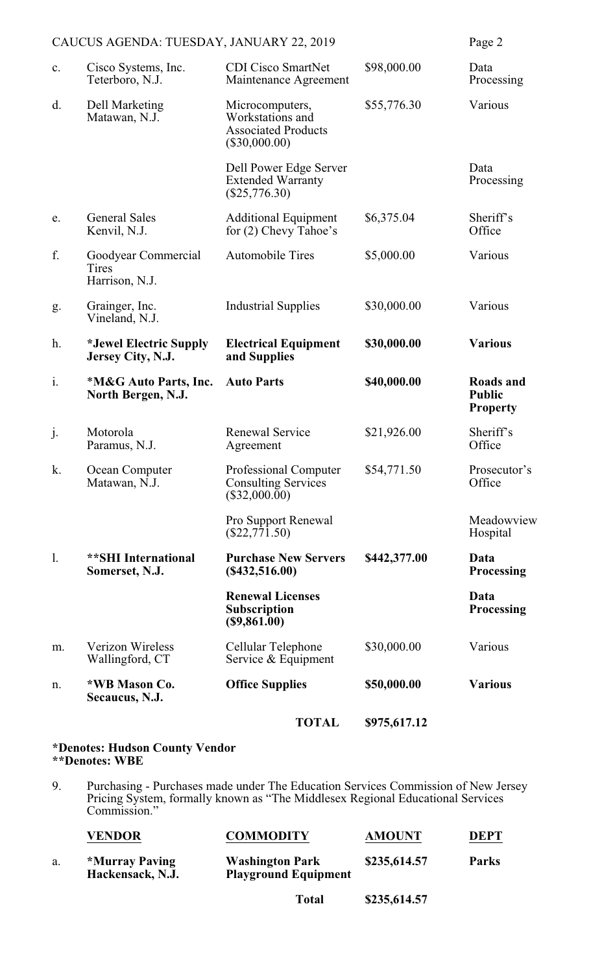|                                          |                                                | <b>TOTAL</b>                                                                         | \$975,617.12 |                                               |
|------------------------------------------|------------------------------------------------|--------------------------------------------------------------------------------------|--------------|-----------------------------------------------|
| n.                                       | *WB Mason Co.<br>Secaucus, N.J.                | <b>Office Supplies</b>                                                               | \$50,000.00  | <b>Various</b>                                |
| m.                                       | Verizon Wireless<br>Wallingford, CT            | Cellular Telephone<br>Service & Equipment                                            | \$30,000.00  | Various                                       |
|                                          |                                                | <b>Renewal Licenses</b><br><b>Subscription</b><br>(\$9,861.00)                       |              | Data<br><b>Processing</b>                     |
| 1.                                       | <b>**SHI</b> International<br>Somerset, N.J.   | <b>Purchase New Servers</b><br>(\$432,516.00)                                        | \$442,377.00 | Data<br><b>Processing</b>                     |
|                                          |                                                | Pro Support Renewal<br>$(\$22,771.50)$                                               |              | Meadowview<br>Hospital                        |
| k.                                       | Ocean Computer<br>Matawan, N.J.                | Professional Computer<br><b>Consulting Services</b><br>$(\$32,000.00)$               | \$54,771.50  | Prosecutor's<br>Office                        |
| j.                                       | Motorola<br>Paramus, N.J.                      | <b>Renewal Service</b><br>Agreement                                                  | \$21,926.00  | Sheriff's<br>Office                           |
| i.                                       | *M&G Auto Parts, Inc.<br>North Bergen, N.J.    | <b>Auto Parts</b>                                                                    | \$40,000.00  | Roads and<br><b>Public</b><br><b>Property</b> |
| h.                                       | *Jewel Electric Supply<br>Jersey City, N.J.    | <b>Electrical Equipment</b><br>and Supplies                                          | \$30,000.00  | <b>Various</b>                                |
| g.                                       | Grainger, Inc.<br>Vineland, N.J.               | <b>Industrial Supplies</b>                                                           | \$30,000.00  | Various                                       |
| f.                                       | Goodyear Commercial<br>Tires<br>Harrison, N.J. | <b>Automobile Tires</b>                                                              | \$5,000.00   | Various                                       |
| e.                                       | <b>General Sales</b><br>Kenvil, N.J.           | <b>Additional Equipment</b><br>for (2) Chevy Tahoe's                                 | \$6,375.04   | Sheriff's<br>Office                           |
|                                          |                                                | Dell Power Edge Server<br><b>Extended Warranty</b><br>$(\$25,776.30)$                |              | Data<br>Processing                            |
| d.                                       | <b>Dell Marketing</b><br>Matawan, N.J.         | Microcomputers,<br>Workstations and<br><b>Associated Products</b><br>$(\$30,000.00)$ | \$55,776.30  | Various                                       |
| c.                                       | Cisco Systems, Inc.<br>Teterboro, N.J.         | <b>CDI Cisco SmartNet</b><br>Maintenance Agreement                                   | \$98,000.00  | Data<br>Processing                            |
| CAUCUS AGENDA: TUESDAY, JANUARY 22, 2019 |                                                | Page 2                                                                               |              |                                               |

#### **\*Denotes: Hudson County Vendor \*\*Denotes: WBE**

9. Purchasing - Purchases made under The Education Services Commission of New Jersey Pricing System, formally known as "The Middlesex Regional Educational Services Commission."

|    | <b>VENDOR</b>                      | <b>COMMODITY</b>                                      | <b>AMOUNT</b> | <b>DEPT</b>  |
|----|------------------------------------|-------------------------------------------------------|---------------|--------------|
| a. | *Murray Paving<br>Hackensack, N.J. | <b>Washington Park</b><br><b>Playground Equipment</b> | \$235,614.57  | <b>Parks</b> |
|    |                                    |                                                       |               |              |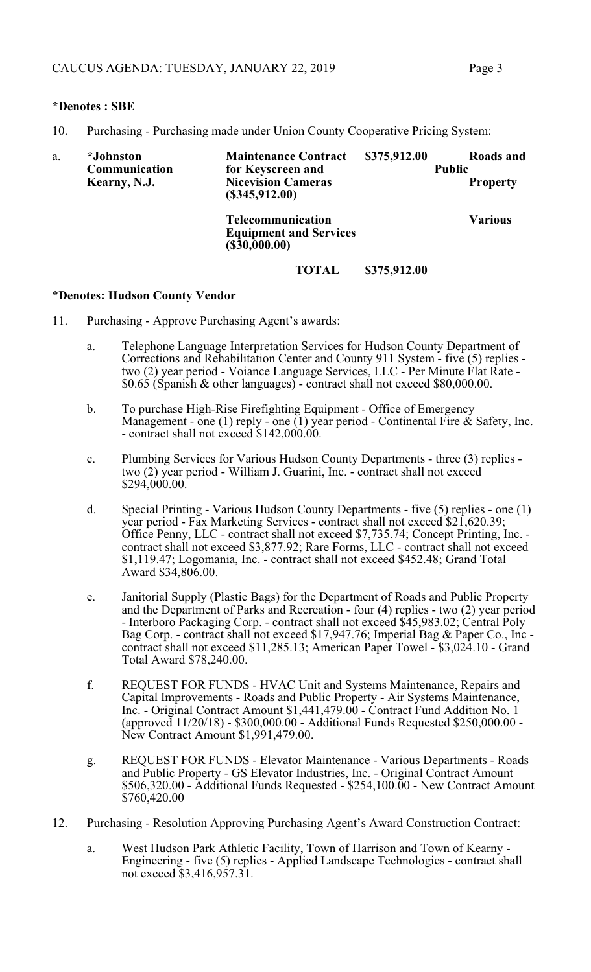### **\*Denotes : SBE**

10. Purchasing - Purchasing made under Union County Cooperative Pricing System:

| a. | <i>*Johnston</i><br>Communication<br>Kearny, N.J. | <b>Maintenance Contract</b><br>for Keyscreen and<br><b>Nicevision Cameras</b><br>(\$345,912.00) | \$375,912.00 | Roads and<br><b>Public</b><br><b>Property</b> |
|----|---------------------------------------------------|-------------------------------------------------------------------------------------------------|--------------|-----------------------------------------------|
|    |                                                   | <b>Telecommunication</b><br><b>Equipment and Services</b><br>(\$30,000.00)                      |              | <b>Various</b>                                |
|    |                                                   | <b>TOTAL</b>                                                                                    | \$375,912.00 |                                               |

#### **\*Denotes: Hudson County Vendor**

- 11. Purchasing Approve Purchasing Agent's awards:
	- a. Telephone Language Interpretation Services for Hudson County Department of Corrections and Rehabilitation Center and County 911 System - five (5) replies two (2) year period - Voiance Language Services, LLC - Per Minute Flat Rate - \$0.65 (Spanish & other languages) - contract shall not exceed \$80,000.00.
	- b. To purchase High-Rise Firefighting Equipment Office of Emergency Management - one (1) reply - one (1) year period - Continental Fire  $\&$  Safety, Inc. - contract shall not exceed \$142,000.00.
	- c. Plumbing Services for Various Hudson County Departments three (3) replies two (2) year period - William J. Guarini, Inc. - contract shall not exceed  $$294,000.00.$
	- d. Special Printing Various Hudson County Departments five (5) replies one (1) year period - Fax Marketing Services - contract shall not exceed \$21,620.39; Office Penny, LLC - contract shall not exceed \$7,735.74; Concept Printing, Inc. contract shall not exceed \$3,877.92; Rare Forms, LLC - contract shall not exceed \$1,119.47; Logomania, Inc. - contract shall not exceed \$452.48; Grand Total Award \$34,806.00.
	- e. Janitorial Supply (Plastic Bags) for the Department of Roads and Public Property and the Department of Parks and Recreation - four (4) replies - two (2) year period - Interboro Packaging Corp. - contract shall not exceed \$45,983.02; Central Poly Bag Corp. - contract shall not exceed \$17,947.76; Imperial Bag & Paper Co., Inc contract shall not exceed \$11,285.13; American Paper Towel - \$3,024.10 - Grand Total Award \$78,240.00.
	- f. REQUEST FOR FUNDS HVAC Unit and Systems Maintenance, Repairs and Capital Improvements - Roads and Public Property - Air Systems Maintenance, Inc. - Original Contract Amount \$1,441,479.00 - Contract Fund Addition No. 1 (approved 11/20/18) - \$300,000.00 - Additional Funds Requested \$250,000.00 - New Contract Amount \$1,991,479.00.
	- g. REQUEST FOR FUNDS Elevator Maintenance Various Departments Roads and Public Property - GS Elevator Industries, Inc. - Original Contract Amount \$506,320.00 - Additional Funds Requested - \$254,100.00 - New Contract Amount \$760,420.00
- 12. Purchasing Resolution Approving Purchasing Agent's Award Construction Contract:
	- a. West Hudson Park Athletic Facility, Town of Harrison and Town of Kearny Engineering - five (5) replies - Applied Landscape Technologies - contract shall not exceed \$3,416,957.31.